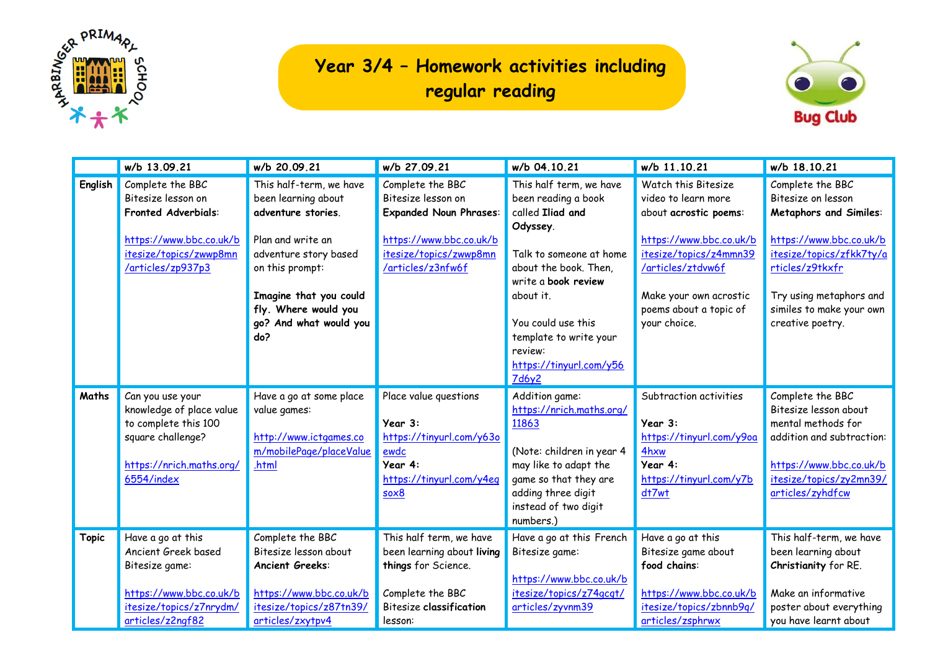

## **Year 3/4 – Homework activities including regular reading**



|              | w/b 13.09.21                                                                                                                                   | w/b 20.09.21                                                                                                                                                                                                             | w/b 27.09.21                                                                                                                                      | w/b 04.10.21                                                                                                                                                                                                                                                                 | w/b 11.10.21                                                                                                                                                                                                      | w/b 18.10.21                                                                                                                                                                                                                 |
|--------------|------------------------------------------------------------------------------------------------------------------------------------------------|--------------------------------------------------------------------------------------------------------------------------------------------------------------------------------------------------------------------------|---------------------------------------------------------------------------------------------------------------------------------------------------|------------------------------------------------------------------------------------------------------------------------------------------------------------------------------------------------------------------------------------------------------------------------------|-------------------------------------------------------------------------------------------------------------------------------------------------------------------------------------------------------------------|------------------------------------------------------------------------------------------------------------------------------------------------------------------------------------------------------------------------------|
| English      | Complete the BBC<br>Bitesize lesson on<br><b>Fronted Adverbials:</b><br>https://www.bbc.co.uk/b<br>itesize/topics/zwwp8mn<br>/articles/zp937p3 | This half-term, we have<br>been learning about<br>adventure stories.<br>Plan and write an<br>adventure story based<br>on this prompt:<br>Imagine that you could<br>fly. Where would you<br>go? And what would you<br>do? | Complete the BBC<br>Bitesize lesson on<br><b>Expanded Noun Phrases:</b><br>https://www.bbc.co.uk/b<br>itesize/topics/zwwp8mn<br>/articles/z3nfw6f | This half term, we have<br>been reading a book<br>called Iliad and<br>Odyssey.<br>Talk to someone at home<br>about the book. Then,<br>write a book review<br>about it.<br>You could use this<br>template to write your<br>review:<br>https://tinyurl.com/y56<br><b>7d6y2</b> | Watch this Bitesize<br>video to learn more<br>about acrostic poems:<br>https://www.bbc.co.uk/b<br>itesize/topics/z4mmn39<br>/articles/ztdvw6f<br>Make your own acrostic<br>poems about a topic of<br>your choice. | Complete the BBC<br>Bitesize on lesson<br><b>Metaphors and Similes:</b><br>https://www.bbc.co.uk/b<br>itesize/topics/zfkk7ty/a<br>rticles/z9tkxfr<br>Try using metaphors and<br>similes to make your own<br>creative poetry. |
| Maths        | Can you use your<br>knowledge of place value<br>to complete this 100<br>square challenge?<br>https://nrich.maths.org/<br>6554/index            | Have a go at some place<br>value games:<br>http://www.ictgames.co<br>m/mobilePage/placeValue<br>.html                                                                                                                    | Place value questions<br>Year 3:<br>https://tinyurl.com/y63o<br>ewdc<br>Year 4:<br>https://tinyurl.com/y4eq<br>$s$ o $\times$ 8                   | Addition game:<br>https://nrich.maths.org/<br>11863<br>(Note: children in year 4<br>may like to adapt the<br>game so that they are<br>adding three digit<br>instead of two digit<br>numbers.)                                                                                | Subtraction activities<br>Year 3:<br>https://tinyurl.com/y9oa<br>4hxw<br>Year 4:<br>https://tinyurl.com/y7b<br>dt7wt                                                                                              | Complete the BBC<br>Bitesize lesson about<br>mental methods for<br>addition and subtraction:<br>https://www.bbc.co.uk/b<br>itesize/topics/zy2mn39/<br>articles/zyhdfcw                                                       |
| <b>Topic</b> | Have a go at this<br>Ancient Greek based<br>Bitesize game:<br>https://www.bbc.co.uk/b<br>itesize/topics/z7nrydm/<br>articles/z2ngf82           | Complete the BBC<br>Bitesize lesson about<br><b>Ancient Greeks:</b><br>https://www.bbc.co.uk/b<br>itesize/topics/z87tn39/<br>articles/zxytpv4                                                                            | This half term, we have<br>been learning about living<br>things for Science.<br>Complete the BBC<br><b>Bitesize classification</b><br>lesson:     | Have a go at this French<br>Bitesize game:<br>https://www.bbc.co.uk/b<br>itesize/topics/z74gcqt/<br>articles/zyvnm39                                                                                                                                                         | Have a go at this<br>Bitesize game about<br>food chains:<br>https://www.bbc.co.uk/b<br>itesize/topics/zbnnb9q/<br>articles/zsphrwx                                                                                | This half-term, we have<br>been learning about<br>Christianity for RE.<br>Make an informative<br>poster about everything<br>you have learnt about                                                                            |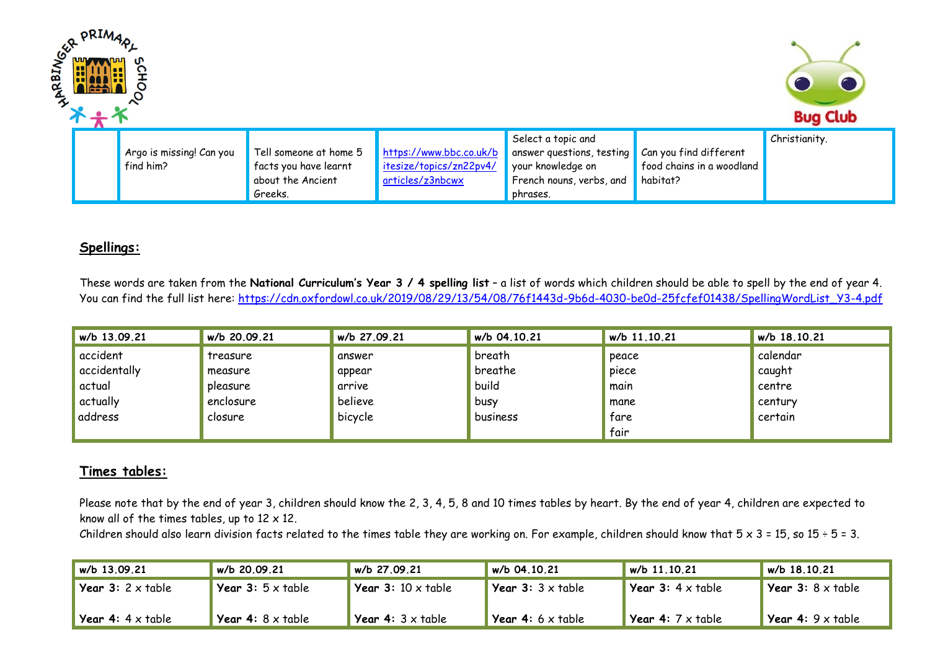| <b>PRIMA</b><br><b>BINGER</b><br>ڟ | <b>Bug Club</b>                       |                                                                                 |                                                                        |                                                                                                              |                                                                 |               |
|------------------------------------|---------------------------------------|---------------------------------------------------------------------------------|------------------------------------------------------------------------|--------------------------------------------------------------------------------------------------------------|-----------------------------------------------------------------|---------------|
|                                    | Argo is missing! Can you<br>find him? | Tell someone at home 5<br>facts you have learnt<br>about the Ancient<br>Greeks. | https://www.bbc.co.uk/b<br>itesize/topics/zn22pv4/<br>articles/z3nbcwx | Select a topic and<br>answer questions, testing<br>your knowledge on<br>French nouns, verbs, and<br>phrases. | Can you find different<br>food chains in a woodland<br>habitat? | Christianity. |

## **Spellings:**

These words are taken from the **National Curriculum's Year 3 / 4 spelling list** – a list of words which children should be able to spell by the end of year 4. You can find the full list here: [https://cdn.oxfordowl.co.uk/2019/08/29/13/54/08/76f1443d-9b6d-4030-be0d-25fcfef01438/SpellingWordList\\_Y3-4.pdf](https://cdn.oxfordowl.co.uk/2019/08/29/13/54/08/76f1443d-9b6d-4030-be0d-25fcfef01438/SpellingWordList_Y3-4.pdf)

| w/b 13.09.21 | w/b 20.09.21 | w/b 27.09.21 | w/b 04.10.21 | w/b 11.10.21 | w/b 18.10.21 |
|--------------|--------------|--------------|--------------|--------------|--------------|
| accident     | treasure     | answer       | breath       | peace        | calendar     |
| accidentally | measure      | appear       | breathe      | piece        | caught       |
| actual       | pleasure     | arrive       | build        | main         | centre       |
| actually     | enclosure    | believe      | busy         | mane         | century      |
| address      | closure      | bicycle      | business     | tare         | certain      |
|              |              |              |              | fair         |              |

## **Times tables:**

Please note that by the end of year 3, children should know the 2, 3, 4, 5, 8 and 10 times tables by heart. By the end of year 4, children are expected to know all of the times tables, up to  $12 \times 12$ .

Children should also learn division facts related to the times table they are working on. For example, children should know that  $5 \times 3 = 15$ , so  $15 \div 5 = 3$ .

| $w/b$ 13.09.21                         | w/b 20.09.21                    | w/b 27.09.21                     | $w/b$ 04.10.21                         | w/b 11.10.21                    | $w/b$ 18.10.21                    |
|----------------------------------------|---------------------------------|----------------------------------|----------------------------------------|---------------------------------|-----------------------------------|
| <b>Year 3:</b> $2 \times \text{table}$ | <b>Year 3:</b> $5 \times$ table | <b>Year 3:</b> 10 $\times$ table | <b>Year 3:</b> $3 \times \text{table}$ | <b>Year 3:</b> $4 \times$ table | <b>Vear 3:</b> $8 \times 10^{16}$ |
| <b>Year 4:</b> $4 \times$ table        | <b>Year 4:</b> 8 x table        | <b>Year 4:</b> $3 \times$ table  | <b>Year 4:</b> 6 $\times$ table        | <b>Year 4:</b> 7 x table        | <b>Year 4:</b> $9 \times$ table   |